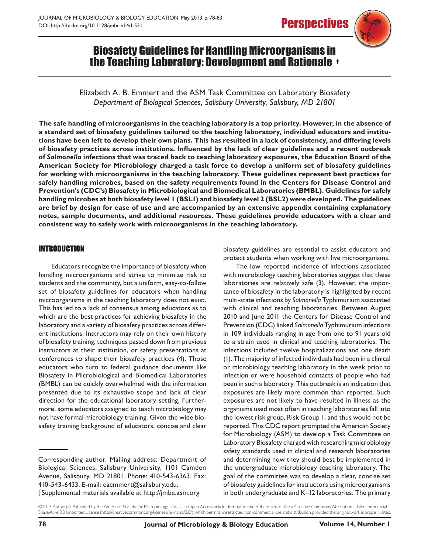# Biosafety Guidelines for Handling Microorganisms in the Teaching Laboratory: Development and Rationale †

Elizabeth A. B. Emmert and the ASM Task Committee on Laboratory Biosafety *Department of Biological Sciences, Salisbury University, Salisbury, MD 21801*

**The safe handling of microorganisms in the teaching laboratory is a top priority. However, in the absence of a standard set of biosafety guidelines tailored to the teaching laboratory, individual educators and institutions have been left to develop their own plans. This has resulted in a lack of consistency, and differing levels**  of biosafety practices across institutions. Influenced by the lack of clear guidelines and a recent outbreak **of** *Salmonella* **infections that was traced back to teaching laboratory exposures, the Education Board of the American Society for Microbiology charged a task force to develop a uniform set of biosafety guidelines for working with microorganisms in the teaching laboratory. These guidelines represent best practices for safely handling microbes, based on the safety requirements found in the Centers for Disease Control and Prevention's (CDC's) Biosafety in Microbiological and Biomedical Laboratories (BMBL). Guidelines for safely handling microbes at both biosafety level 1 (BSL1) and biosafety level 2 (BSL2) were developed. The guidelines are brief by design for ease of use and are accompanied by an extensive appendix containing explanatory notes, sample documents, and additional resources. These guidelines provide educators with a clear and consistent way to safely work with microorganisms in the teaching laboratory.**

## INTRODUCTION

Educators recognize the importance of biosafety when handling microorganisms and strive to minimize risk to students and the community, but a uniform, easy-to-follow set of biosafety guidelines for educators when handling microorganisms in the teaching laboratory does not exist. This has led to a lack of consensus among educators as to which are the best practices for achieving biosafety in the laboratory and a variety of biosafety practices across different institutions. Instructors may rely on their own history of biosafety training, techniques passed down from previous instructors at their institution, or safety presentations at conferences to shape their biosafety practices (4). Those educators who turn to federal guidance documents like Biosafety in Microbiological and Biomedical Laboratories (BMBL) can be quickly overwhelmed with the information presented due to its exhaustive scope and lack of clear direction for the educational laboratory setting. Furthermore, some educators assigned to teach microbiology may not have formal microbiology training. Given the wide biosafety training background of educators, concise and clear

Corresponding author. Mailing address: Department of Biological Sciences, Salisbury University, 1101 Camden Avenue, Salisbury, MD 21801. Phone: 410-543-6363. Fax: 410-543-6433. E-mail: [eaemmert@salisbury.edu.](mailto:eaemmert@salisbury.edu) †Supplemental materials available at<http://jmbe.asm.org>

biosafety guidelines are essential to assist educators and protect students when working with live microorganisms.

The low reported incidence of infections associated with microbiology teaching laboratories suggest that these laboratories are relatively safe (3). However, the importance of biosafety in the laboratory is highlighted by recent multi-state infections by *Salmonella* Typhimurium associated with clinical and teaching laboratories. Between August 2010 and June 2011 the Centers for Disease Control and Prevention (CDC) linked *Salmonella* Typhimurium infections in 109 individuals ranging in age from one to 91 years old to a strain used in clinical and teaching laboratories. The infections included twelve hospitalizations and one death (1). The majority of infected individuals had been in a clinical or microbiology teaching laboratory in the week prior to infection or were household contacts of people who had been in such a laboratory. This outbreak is an indication that exposures are likely more common than reported. Such exposures are not likely to have resulted in illness as the organisms used most often in teaching laboratories fall into the lowest risk group, Risk Group 1, and thus would not be reported. This CDC report prompted the American Society for Microbiology (ASM) to develop a Task Committee on Laboratory Biosafety charged with researching microbiology safety standards used in clinical and research laboratories and determining how they should best be implemented in the undergraduate microbiology teaching laboratory. The goal of the committee was to develop a clear, concise set of biosafety guidelines for instructors using microorganisms in both undergraduate and K–12 laboratories. The primary

<sup>©2013</sup> Author(s). Published by the American Society for Microbiology. This is an Open Access article distributed under the terms of the a Creative Commons Attribution – Noncommercial – Share Alike 3.0 Unported License [\(http://creativecommons.org/licenses/by](http://creativecommons.org/licenses/by)-nc-sa/3.0/), which permits unrestricted non-commercial use and distribution, provided the original work is properly cited.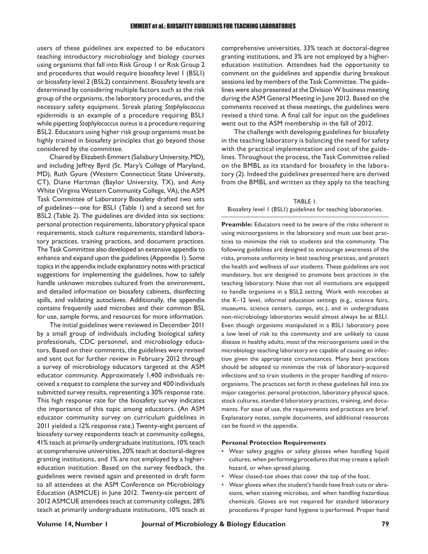users of these guidelines are expected to be educators teaching introductory microbiology and biology courses using organisms that fall into Risk Group 1 or Risk Group 2 and procedures that would require biosafety level 1 (BSL1) or biosafety level 2 (BSL2) containment. Biosafety levels are determined by considering multiple factors such as the risk group of the organisms, the laboratory procedures, and the necessary safety equipment. Streak plating *Staphylococcus epidermidis* is an example of a procedure requiring BSL1 while pipetting *Staphylococcus aureus* is a procedure requiring BSL2. Educators using higher risk group organisms must be highly trained in biosafety principles that go beyond those considered by the committee.

Chaired by Elizabeth Emmert (Salisbury University, MD), and including Jeffrey Byrd (St. Mary's College of Maryland, MD), Ruth Gyure (Western Connecticut State University, CT), Diane Hartman (Baylor University, TX), and Amy White (Virginia Western Community College, VA), the ASM Task Committee of Laboratory Biosafety drafted two sets of guidelines—one for BSL1 (Table 1) and a second set for BSL2 (Table 2). The guidelines are divided into six sections: personal protection requirements, laboratory physical space requirements, stock culture requirements, standard laboratory practices, training practices, and document practices. The Task Committee also developed an extensive appendix to enhance and expand upon the guidelines (Appendix 1). Some topics in the appendix include explanatory notes with practical suggestions for implementing the guidelines, how to safely handle unknown microbes cultured from the environment, and detailed information on biosafety cabinets, disinfecting spills, and validating autoclaves. Additionally, the appendix contains frequently used microbes and their common BSL for use, sample forms, and resources for more information.

The initial guidelines were reviewed in December 2011 by a small group of individuals including biological safety professionals, CDC personnel, and microbiology educators. Based on their comments, the guidelines were revised and sent out for further review in February 2012 through a survey of microbiology educators targeted at the ASM educator community. Approximately 1,400 individuals received a request to complete the survey and 400 individuals submitted survey results, representing a 30% response rate. This high response rate for the biosafety survey indicates the importance of this topic among educators. (An ASM educator community survey on curriculum guidelines in 2011 yielded a 12% response rate.) Twenty-eight percent of biosafety survey respondents teach at community colleges, 41% teach at primarily undergraduate institutions, 10% teach at comprehensive universities, 20% teach at doctoral-degree granting institutions, and 1% are not employed by a highereducation institution. Based on the survey feedback, the guidelines were revised again and presented in draft form to all attendees at the ASM Conference on Microbiology Education (ASMCUE) in June 2012. Twenty-six percent of 2012 ASMCUE attendees teach at community colleges, 28% teach at primarily undergraduate institutions, 10% teach at comprehensive universities, 33% teach at doctoral-degree granting institutions, and 3% are not employed by a highereducation institution. Attendees had the opportunity to comment on the guidelines and appendix during breakout sessions led by members of the Task Committee. The guidelines were also presented at the Division W business meeting during the ASM General Meeting in June 2012. Based on the comments received at these meetings, the guidelines were revised a third time. A final call for input on the guidelines went out to the ASM membership in the fall of 2012.

The challenge with developing guidelines for biosafety in the teaching laboratory is balancing the need for safety with the practical implementation and cost of the guidelines. Throughout the process, the Task Committee relied on the BMBL as its standard for biosafety in the laboratory (2). Indeed the guidelines presented here are derived from the BMBL and written as they apply to the teaching

TABLE 1. Biosafety level 1 (BSL1) guidelines for teaching laboratories.

**Preamble:** Educators need to be aware of the risks inherent in using microorganisms in the laboratory and must use best practices to minimize the risk to students and the community. The following guidelines are designed to encourage awareness of the risks, promote uniformity in best teaching practices, and protect the health and wellness of our students. These guidelines are not mandatory, but are designed to promote best practices in the teaching laboratory. Note that not all institutions are equipped to handle organisms in a BSL2 setting. Work with microbes at the K–12 level, informal education settings (e.g., science fairs, museums, science centers, camps, etc.), and in undergraduate non-microbiology laboratories would almost always be at BSL1. Even though organisms manipulated in a BSL1 laboratory pose a low level of risk to the community and are unlikely to cause disease in healthy adults, most of the microorganisms used in the microbiology teaching laboratory are capable of causing an infection given the appropriate circumstances. Many best practices should be adopted to minimize the risk of laboratory-acquired infections and to train students in the proper handling of microorganisms. The practices set forth in these guidelines fall into six major categories: personal protection, laboratory physical space, stock cultures, standard laboratory practices, training, and documents. For ease of use, the requirements and practices are brief. Explanatory notes, sample documents, and additional resources can be found in the appendix.

#### **Personal Protection Requirements**

- Wear safety goggles or safety glasses when handling liquid cultures, when performing procedures that may create a splash hazard, or when spread plating.
- Wear closed-toe shoes that cover the top of the foot.
- Wear gloves when the student's hands have fresh cuts or abrasions, when staining microbes, and when handling hazardous chemicals. Gloves are not required for standard laboratory procedures if proper hand hygiene is performed. Proper hand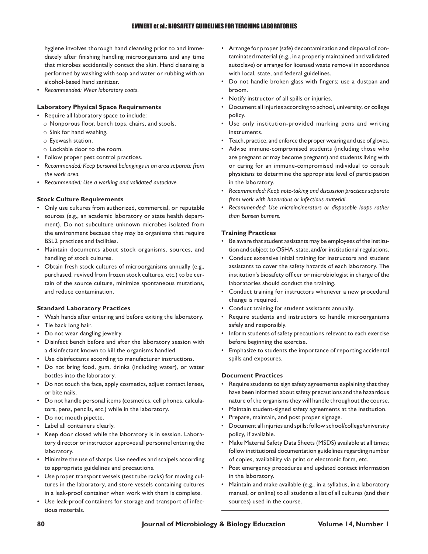#### EMMERT et al.: BIOSAFETY GUIDELINES FOR TEACHING LABORATORIES

hygiene involves thorough hand cleansing prior to and immediately after finishing handling microorganisms and any time that microbes accidentally contact the skin. Hand cleansing is performed by washing with soap and water or rubbing with an alcohol-based hand sanitizer.

*Recommended: Wear laboratory coats.*

## **Laboratory Physical Space Requirements**

- Require all laboratory space to include:
	- $\circ$  Nonporous floor, bench tops, chairs, and stools.
	- o Sink for hand washing.
	- o Eyewash station.
- o Lockable door to the room.
- Follow proper pest control practices.
- *Recommended: Keep personal belongings in an area separate from the work area.*
- *Recommended: Use a working and validated autoclave.*

## **Stock Culture Requirements**

- Only use cultures from authorized, commercial, or reputable sources (e.g., an academic laboratory or state health department). Do not subculture unknown microbes isolated from the environment because they may be organisms that require BSL2 practices and facilities.
- Maintain documents about stock organisms, sources, and handling of stock cultures.
- Obtain fresh stock cultures of microorganisms annually (e.g., purchased, revived from frozen stock cultures, etc.) to be certain of the source culture, minimize spontaneous mutations, and reduce contamination.

## **Standard Laboratory Practices**

- Wash hands after entering and before exiting the laboratory.
- Tie back long hair.
- Do not wear dangling jewelry.
- Disinfect bench before and after the laboratory session with a disinfectant known to kill the organisms handled.
- Use disinfectants according to manufacturer instructions.
- Do not bring food, gum, drinks (including water), or water bottles into the laboratory.
- Do not touch the face, apply cosmetics, adjust contact lenses, or bite nails.
- Do not handle personal items (cosmetics, cell phones, calculators, pens, pencils, etc.) while in the laboratory.
- Do not mouth pipette.
- Label all containers clearly.
- Keep door closed while the laboratory is in session. Laboratory director or instructor approves all personnel entering the laboratory.
- Minimize the use of sharps. Use needles and scalpels according to appropriate guidelines and precautions.
- Use proper transport vessels (test tube racks) for moving cultures in the laboratory, and store vessels containing cultures in a leak-proof container when work with them is complete.
- Use leak-proof containers for storage and transport of infectious materials.
- Arrange for proper (safe) decontamination and disposal of contaminated material (e.g., in a properly maintained and validated autoclave) or arrange for licensed waste removal in accordance with local, state, and federal guidelines.
- Do not handle broken glass with fingers; use a dustpan and broom.
- Notify instructor of all spills or injuries.
- Document all injuries according to school, university, or college policy.
- Use only institution-provided marking pens and writing instruments.
- Teach, practice, and enforce the proper wearing and use of gloves.
- Advise immune-compromised students (including those who are pregnant or may become pregnant) and students living with or caring for an immune-compromised individual to consult physicians to determine the appropriate level of participation in the laboratory.
- *Recommended: Keep note-taking and discussion practices separate from work with hazardous or infectious material.*
- *Recommended: Use microincinerators or disposable loops rather than Bunsen burners.*

## **Training Practices**

- Be aware that student assistants may be employees of the institution and subject to OSHA, state, and/or institutional regulations.
- Conduct extensive initial training for instructors and student assistants to cover the safety hazards of each laboratory. The institution's biosafety officer or microbiologist in charge of the laboratories should conduct the training.
- Conduct training for instructors whenever a new procedural change is required.
- Conduct training for student assistants annually.
- Require students and instructors to handle microorganisms safely and responsibly.
- Inform students of safety precautions relevant to each exercise before beginning the exercise.
- Emphasize to students the importance of reporting accidental spills and exposures.

## **Document Practices**

- Require students to sign safety agreements explaining that they have been informed about safety precautions and the hazardous nature of the organisms they will handle throughout the course.
- Maintain student-signed safety agreements at the institution.
- Prepare, maintain, and post proper signage.
- Document all injuries and spills; follow school/college/university policy, if available.
- Make Material Safety Data Sheets (MSDS) available at all times; follow institutional documentation guidelines regarding number of copies, availability via print or electronic form, etc.
- Post emergency procedures and updated contact information in the laboratory.
- Maintain and make available (e.g., in a syllabus, in a laboratory manual, or online) to all students a list of all cultures (and their sources) used in the course.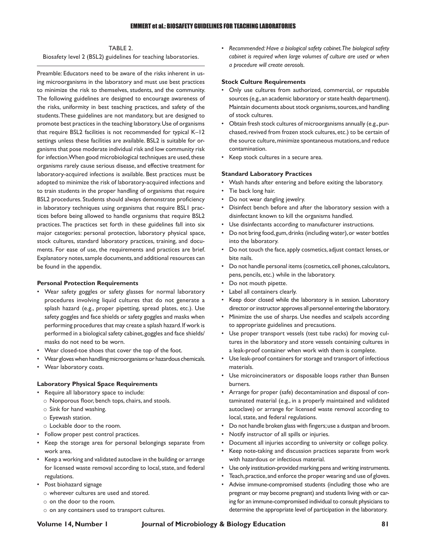## TABLE 2.

Biosafety level 2 (BSL2) guidelines for teaching laboratories.

Preamble: Educators need to be aware of the risks inherent in using microorganisms in the laboratory and must use best practices to minimize the risk to themselves, students, and the community. The following guidelines are designed to encourage awareness of the risks, uniformity in best teaching practices, and safety of the students. These guidelines are not mandatory, but are designed to promote best practices in the teaching laboratory. Use of organisms that require BSL2 facilities is not recommended for typical K–12 settings unless these facilities are available. BSL2 is suitable for organisms that pose moderate individual risk and low community risk for infection. When good microbiological techniques are used, these organisms rarely cause serious disease, and effective treatment for laboratory-acquired infections is available. Best practices must be adopted to minimize the risk of laboratory-acquired infections and to train students in the proper handling of organisms that require BSL2 procedures. Students should always demonstrate proficiency in laboratory techniques using organisms that require BSL1 practices before being allowed to handle organisms that require BSL2 practices. The practices set forth in these guidelines fall into six major categories: personal protection, laboratory physical space, stock cultures, standard laboratory practices, training, and documents. For ease of use, the requirements and practices are brief. Explanatory notes, sample documents, and additional resources can be found in the appendix.

#### **Personal Protection Requirements**

- Wear safety goggles or safety glasses for normal laboratory procedures involving liquid cultures that do not generate a splash hazard (e.g., proper pipetting, spread plates, etc.). Use safety goggles and face shields or safety goggles and masks when performing procedures that may create a splash hazard. If work is performed in a biological safety cabinet, goggles and face shields/ masks do not need to be worn.
- Wear closed-toe shoes that cover the top of the foot.
- Wear gloves when handling microorganisms or hazardous chemicals.
- Wear laboratory coats.

#### **Laboratory Physical Space Requirements**

- Require all laboratory space to include:
	- $\circ$  Nonporous floor, bench tops, chairs, and stools.
- o Sink for hand washing.
- o Eyewash station.
- o Lockable door to the room.
- Follow proper pest control practices.
- Keep the storage area for personal belongings separate from work area.
- Keep a working and validated autoclave in the building or arrange for licensed waste removal according to local, state, and federal regulations.
- Post biohazard signage
	- o wherever cultures are used and stored.
	- o on the door to the room.
	- o on any containers used to transport cultures.
- 

 *Recommended: Have a biological safety cabinet. The biological safety cabinet is required when large volumes of culture are used or when a procedure will create aerosols.*

#### **Stock Culture Requirements**

- Only use cultures from authorized, commercial, or reputable sources (e.g., an academic laboratory or state health department). Maintain documents about stock organisms, sources, and handling of stock cultures.
- Obtain fresh stock cultures of microorganisms annually (e.g., purchased, revived from frozen stock cultures, etc.) to be certain of the source culture, minimize spontaneous mutations, and reduce contamination.
- Keep stock cultures in a secure area.

#### **Standard Laboratory Practices**

- Wash hands after entering and before exiting the laboratory.
- Tie back long hair.
- Do not wear dangling jewelry.
- Disinfect bench before and after the laboratory session with a disinfectant known to kill the organisms handled.
- Use disinfectants according to manufacturer instructions.
- Do not bring food, gum, drinks (including water), or water bottles into the laboratory.
- Do not touch the face, apply cosmetics, adjust contact lenses, or bite nails.
- Do not handle personal items (cosmetics, cell phones, calculators, pens, pencils, etc.) while in the laboratory.
- Do not mouth pipette.
- Label all containers clearly.
- Keep door closed while the laboratory is in session. Laboratory director or instructor approves all personnel entering the laboratory.
- Minimize the use of sharps. Use needles and scalpels according to appropriate guidelines and precautions.
- Use proper transport vessels (test tube racks) for moving cultures in the laboratory and store vessels containing cultures in a leak-proof container when work with them is complete.
- Use leak-proof containers for storage and transport of infectious materials.
- Use microincinerators or disposable loops rather than Bunsen burners.
- Arrange for proper (safe) decontamination and disposal of contaminated material (e.g., in a properly maintained and validated autoclave) or arrange for licensed waste removal according to local, state, and federal regulations.
- Do not handle broken glass with fingers; use a dustpan and broom.
- Notify instructor of all spills or injuries.
- Document all injuries according to university or college policy.
- Keep note-taking and discussion practices separate from work with hazardous or infectious material.
- Use only institution-provided marking pens and writing instruments.
- Teach, practice, and enforce the proper wearing and use of gloves.
- Advise immune-compromised students (including those who are pregnant or may become pregnant) and students living with or caring for an immune-compromised individual to consult physicians to determine the appropriate level of participation in the laboratory.

**Journal of Microbiology & Biology Education Volume 14, Number 1 81**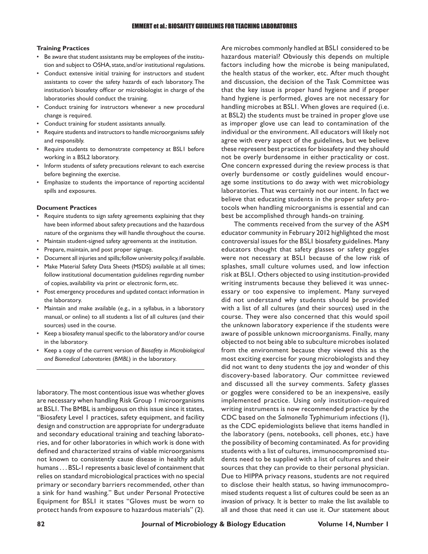#### **Training Practices**

- Be aware that student assistants may be employees of the institution and subject to OSHA, state, and/or institutional regulations.
- Conduct extensive initial training for instructors and student assistants to cover the safety hazards of each laboratory. The institution's biosafety officer or microbiologist in charge of the laboratories should conduct the training.
- Conduct training for instructors whenever a new procedural change is required.
- Conduct training for student assistants annually.
- Require students and instructors to handle microorganisms safely and responsibly.
- Require students to demonstrate competency at BSL1 before working in a BSL2 laboratory.
- Inform students of safety precautions relevant to each exercise before beginning the exercise.
- Emphasize to students the importance of reporting accidental spills and exposures.

#### **Document Practices**

- Require students to sign safety agreements explaining that they have been informed about safety precautions and the hazardous nature of the organisms they will handle throughout the course.
- Maintain student-signed safety agreements at the institution.
- Prepare, maintain, and post proper signage.
- Document all injuries and spills; follow university policy, if available.
- Make Material Safety Data Sheets (MSDS) available at all times; follow institutional documentation guidelines regarding number of copies, availability via print or electronic form, etc.
- Post emergency procedures and updated contact information in the laboratory.
- Maintain and make available (e.g., in a syllabus, in a laboratory manual, or online) to all students a list of all cultures (and their sources) used in the course.
- Keep a biosafety manual specific to the laboratory and/or course in the laboratory.
- Keep a copy of the current version of *Biosafety in Microbiological and Biomedical Laboratories* (*BMBL*) in the laboratory.

laboratory. The most contentious issue was whether gloves are necessary when handling Risk Group 1 microorganisms at BSL1. The BMBL is ambiguous on this issue since it states, "Biosafety Level 1 practices, safety equipment, and facility design and construction are appropriate for undergraduate and secondary educational training and teaching laboratories, and for other laboratories in which work is done with defined and characterized strains of viable microorganisms not known to consistently cause disease in healthy adult humans. . . BSL-1 represents a basic level of containment that relies on standard microbiological practices with no special primary or secondary barriers recommended, other than a sink for hand washing." But under Personal Protective Equipment for BSL1 it states "Gloves must be worn to protect hands from exposure to hazardous materials" (2). Are microbes commonly handled at BSL1 considered to be hazardous material? Obviously this depends on multiple factors including how the microbe is being manipulated, the health status of the worker, etc. After much thought and discussion, the decision of the Task Committee was that the key issue is proper hand hygiene and if proper hand hygiene is performed, gloves are not necessary for handling microbes at BSL1. When gloves are required (i.e. at BSL2) the students must be trained in proper glove use as improper glove use can lead to contamination of the individual or the environment. All educators will likely not agree with every aspect of the guidelines, but we believe these represent best practices for biosafety and they should not be overly burdensome in either practicality or cost. One concern expressed during the review process is that overly burdensome or costly guidelines would encourage some institutions to do away with wet microbiology laboratories. That was certainly not our intent. In fact we believe that educating students in the proper safety protocols when handling microorganisms is essential and can best be accomplished through hands-on training.

The comments received from the survey of the ASM educator community in February 2012 highlighted the most controversial issues for the BSL1 biosafety guidelines. Many educators thought that safety glasses or safety goggles were not necessary at BSL1 because of the low risk of splashes, small culture volumes used, and low infection risk at BSL1. Others objected to using institution-provided writing instruments because they believed it was unnecessary or too expensive to implement. Many surveyed did not understand why students should be provided with a list of all cultures (and their sources) used in the course. They were also concerned that this would spoil the unknown laboratory experience if the students were aware of possible unknown microorganisms. Finally, many objected to not being able to subculture microbes isolated from the environment because they viewed this as the most exciting exercise for young microbiologists and they did not want to deny students the joy and wonder of this discovery-based laboratory. Our committee reviewed and discussed all the survey comments. Safety glasses or goggles were considered to be an inexpensive, easily implemented practice. Using only institution-required writing instruments is now recommended practice by the CDC based on the *Salmonella* Typhimurium infections (1), as the CDC epidemiologists believe that items handled in the laboratory (pens, notebooks, cell phones, etc.) have the possibility of becoming contaminated. As for providing students with a list of cultures, immunocompromised students need to be supplied with a list of cultures and their sources that they can provide to their personal physician. Due to HIPPA privacy reasons, students are not required to disclose their health status, so having immunocompromised students request a list of cultures could be seen as an invasion of privacy. It is better to make the list available to all and those that need it can use it. Our statement about